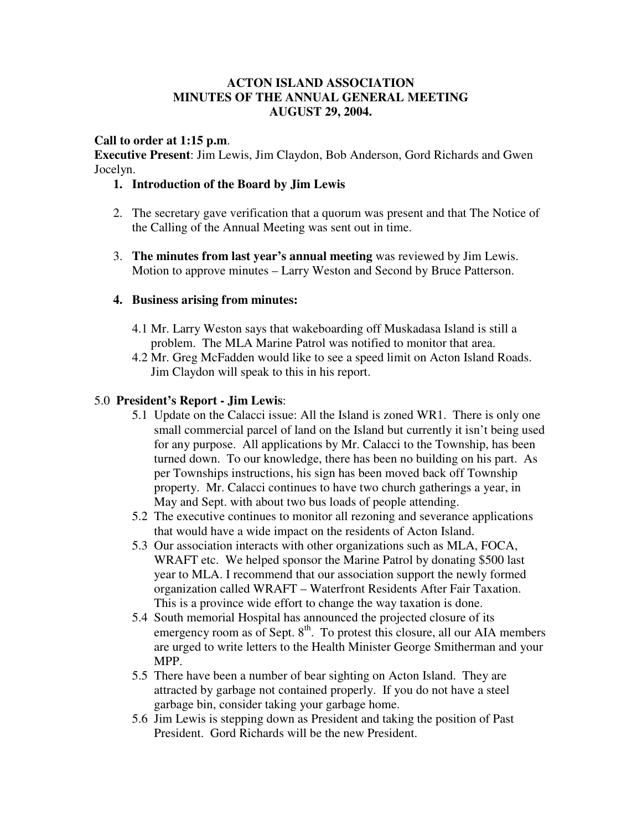## **ACTON ISLAND ASSOCIATION MINUTES OF THE ANNUAL GENERAL MEETING AUGUST 29, 2004.**

### **Call to order at 1:15 p.m**.

**Executive Present**: Jim Lewis, Jim Claydon, Bob Anderson, Gord Richards and Gwen Jocelyn.

## **1. Introduction of the Board by Jim Lewis**

- 2. The secretary gave verification that a quorum was present and that The Notice of the Calling of the Annual Meeting was sent out in time.
- 3. **The minutes from last year's annual meeting** was reviewed by Jim Lewis. Motion to approve minutes – Larry Weston and Second by Bruce Patterson.

## **4. Business arising from minutes:**

- 4.1 Mr. Larry Weston says that wakeboarding off Muskadasa Island is still a problem. The MLA Marine Patrol was notified to monitor that area.
- 4.2 Mr. Greg McFadden would like to see a speed limit on Acton Island Roads. Jim Claydon will speak to this in his report.

### 5.0 **President's Report - Jim Lewis**:

- 5.1 Update on the Calacci issue: All the Island is zoned WR1. There is only one small commercial parcel of land on the Island but currently it isn't being used for any purpose. All applications by Mr. Calacci to the Township, has been turned down. To our knowledge, there has been no building on his part. As per Townships instructions, his sign has been moved back off Township property. Mr. Calacci continues to have two church gatherings a year, in May and Sept. with about two bus loads of people attending.
- 5.2 The executive continues to monitor all rezoning and severance applications that would have a wide impact on the residents of Acton Island.
- 5.3 Our association interacts with other organizations such as MLA, FOCA, WRAFT etc. We helped sponsor the Marine Patrol by donating \$500 last year to MLA. I recommend that our association support the newly formed organization called WRAFT – Waterfront Residents After Fair Taxation. This is a province wide effort to change the way taxation is done.
- 5.4 South memorial Hospital has announced the projected closure of its emergency room as of Sept.  $8<sup>th</sup>$ . To protest this closure, all our AIA members are urged to write letters to the Health Minister George Smitherman and your MPP.
- 5.5 There have been a number of bear sighting on Acton Island. They are attracted by garbage not contained properly. If you do not have a steel garbage bin, consider taking your garbage home.
- 5.6 Jim Lewis is stepping down as President and taking the position of Past President. Gord Richards will be the new President.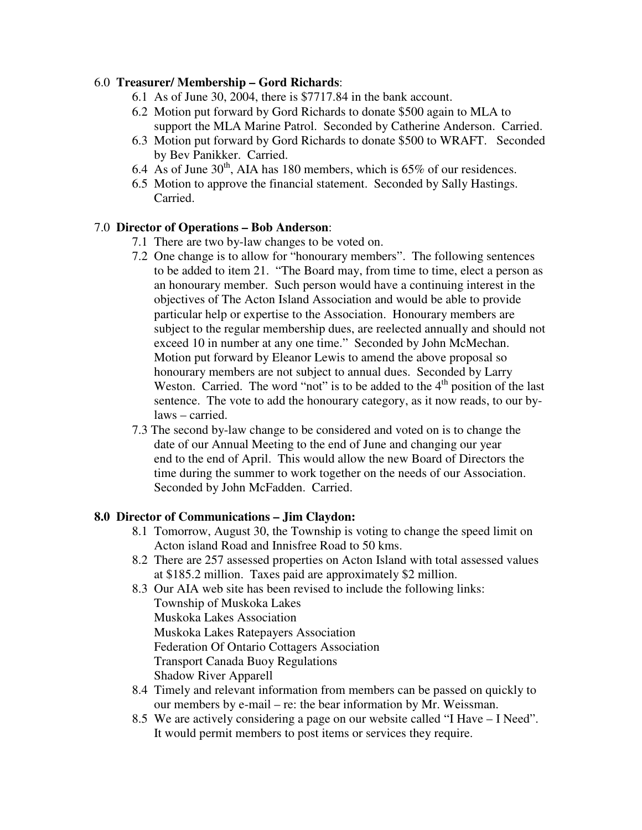## 6.0 **Treasurer/ Membership – Gord Richards**:

- 6.1 As of June 30, 2004, there is \$7717.84 in the bank account.
- 6.2 Motion put forward by Gord Richards to donate \$500 again to MLA to support the MLA Marine Patrol. Seconded by Catherine Anderson. Carried.
- 6.3 Motion put forward by Gord Richards to donate \$500 to WRAFT. Seconded by Bev Panikker. Carried.
- 6.4 As of June  $30<sup>th</sup>$ , AIA has 180 members, which is 65% of our residences.
- 6.5 Motion to approve the financial statement. Seconded by Sally Hastings. Carried.

## 7.0 **Director of Operations – Bob Anderson**:

- 7.1 There are two by-law changes to be voted on.
- 7.2 One change is to allow for "honourary members". The following sentences to be added to item 21. "The Board may, from time to time, elect a person as an honourary member. Such person would have a continuing interest in the objectives of The Acton Island Association and would be able to provide particular help or expertise to the Association. Honourary members are subject to the regular membership dues, are reelected annually and should not exceed 10 in number at any one time." Seconded by John McMechan. Motion put forward by Eleanor Lewis to amend the above proposal so honourary members are not subject to annual dues. Seconded by Larry Weston. Carried. The word "not" is to be added to the  $4<sup>th</sup>$  position of the last sentence. The vote to add the honourary category, as it now reads, to our bylaws – carried.
- 7.3 The second by-law change to be considered and voted on is to change the date of our Annual Meeting to the end of June and changing our year end to the end of April. This would allow the new Board of Directors the time during the summer to work together on the needs of our Association. Seconded by John McFadden. Carried.

#### **8.0 Director of Communications – Jim Claydon:**

- 8.1 Tomorrow, August 30, the Township is voting to change the speed limit on Acton island Road and Innisfree Road to 50 kms.
- 8.2 There are 257 assessed properties on Acton Island with total assessed values at \$185.2 million. Taxes paid are approximately \$2 million.
- 8.3 Our AIA web site has been revised to include the following links: Township of Muskoka Lakes Muskoka Lakes Association Muskoka Lakes Ratepayers Association Federation Of Ontario Cottagers Association Transport Canada Buoy Regulations Shadow River Apparell
- 8.4 Timely and relevant information from members can be passed on quickly to our members by e-mail – re: the bear information by Mr. Weissman.
- 8.5 We are actively considering a page on our website called "I Have I Need". It would permit members to post items or services they require.